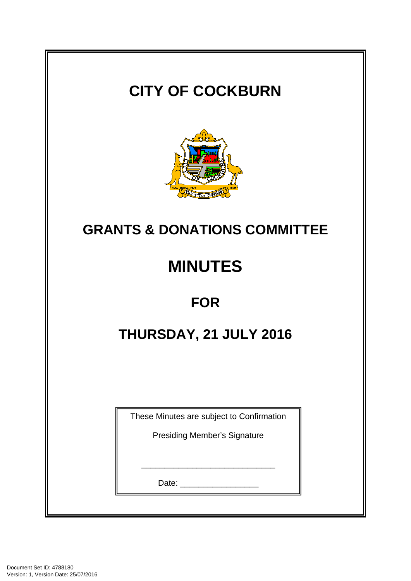# **CITY OF COCKBURN**



### **GRANTS & DONATIONS COMMITTEE**

# **MINUTES**

## **FOR**

## **THURSDAY, 21 JULY 2016**

These Minutes are subject to Confirmation

Presiding Member's Signature

\_\_\_\_\_\_\_\_\_\_\_\_\_\_\_\_\_\_\_\_\_\_\_\_\_\_\_\_\_

Date: \_\_\_\_\_\_\_\_\_\_\_\_\_\_\_\_\_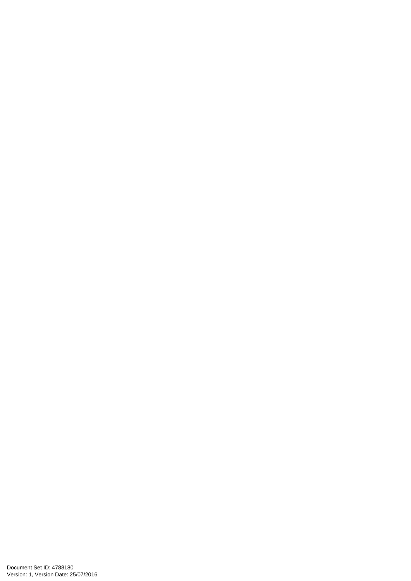Document Set ID: 4788180<br>Version: 1, Version Date: 25/07/2016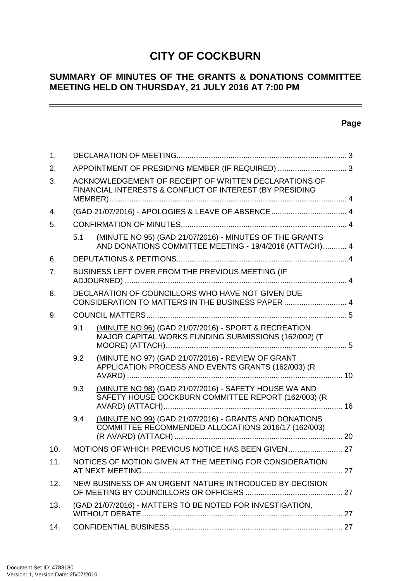### **CITY OF COCKBURN**

#### **SUMMARY OF MINUTES OF THE GRANTS & DONATIONS COMMITTEE MEETING HELD ON THURSDAY, 21 JULY 2016 AT 7:00 PM**

#### **Page**

 $\overline{\phantom{0}}$ 

| 1.             |                                                                                                                   |                                                                                                                   |  |  |
|----------------|-------------------------------------------------------------------------------------------------------------------|-------------------------------------------------------------------------------------------------------------------|--|--|
| 2.             | APPOINTMENT OF PRESIDING MEMBER (IF REQUIRED)  3                                                                  |                                                                                                                   |  |  |
| 3.             | ACKNOWLEDGEMENT OF RECEIPT OF WRITTEN DECLARATIONS OF<br>FINANCIAL INTERESTS & CONFLICT OF INTEREST (BY PRESIDING |                                                                                                                   |  |  |
| 4.             | (GAD 21/07/2016) - APOLOGIES & LEAVE OF ABSENCE 4                                                                 |                                                                                                                   |  |  |
| 5 <sub>1</sub> |                                                                                                                   |                                                                                                                   |  |  |
|                | 5.1                                                                                                               | (MINUTE NO 95) (GAD 21/07/2016) - MINUTES OF THE GRANTS<br>AND DONATIONS COMMITTEE MEETING - 19/4/2016 (ATTACH) 4 |  |  |
| 6.             |                                                                                                                   |                                                                                                                   |  |  |
| 7.             | BUSINESS LEFT OVER FROM THE PREVIOUS MEETING (IF                                                                  |                                                                                                                   |  |  |
| 8.             |                                                                                                                   | DECLARATION OF COUNCILLORS WHO HAVE NOT GIVEN DUE<br>CONSIDERATION TO MATTERS IN THE BUSINESS PAPER  4            |  |  |
| 9.             |                                                                                                                   |                                                                                                                   |  |  |
|                | 9.1                                                                                                               | (MINUTE NO 96) (GAD 21/07/2016) - SPORT & RECREATION<br>MAJOR CAPITAL WORKS FUNDING SUBMISSIONS (162/002) (T      |  |  |
|                | 9.2                                                                                                               | (MINUTE NO 97) (GAD 21/07/2016) - REVIEW OF GRANT<br>APPLICATION PROCESS AND EVENTS GRANTS (162/003) (R           |  |  |
|                | 9.3                                                                                                               | (MINUTE NO 98) (GAD 21/07/2016) - SAFETY HOUSE WA AND<br>SAFETY HOUSE COCKBURN COMMITTEE REPORT (162/003) (R      |  |  |
|                | 9.4                                                                                                               | (MINUTE NO 99) (GAD 21/07/2016) - GRANTS AND DONATIONS<br>COMMITTEE RECOMMENDED ALLOCATIONS 2016/17 (162/003)     |  |  |
| 10.            |                                                                                                                   | MOTIONS OF WHICH PREVIOUS NOTICE HAS BEEN GIVEN  27                                                               |  |  |
| 11.            |                                                                                                                   | NOTICES OF MOTION GIVEN AT THE MEETING FOR CONSIDERATION                                                          |  |  |
| 12.            | NEW BUSINESS OF AN URGENT NATURE INTRODUCED BY DECISION                                                           |                                                                                                                   |  |  |
| 13.            |                                                                                                                   | (GAD 21/07/2016) - MATTERS TO BE NOTED FOR INVESTIGATION,                                                         |  |  |
| 14.            |                                                                                                                   |                                                                                                                   |  |  |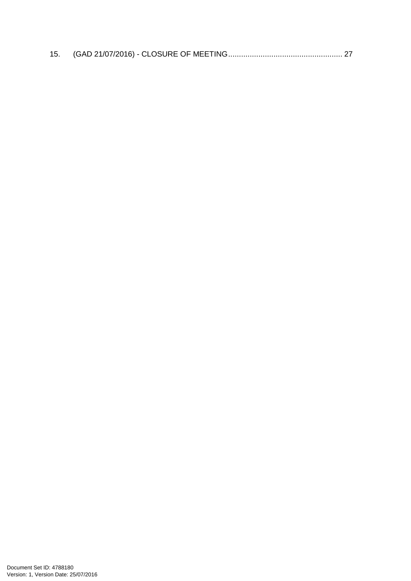|--|--|--|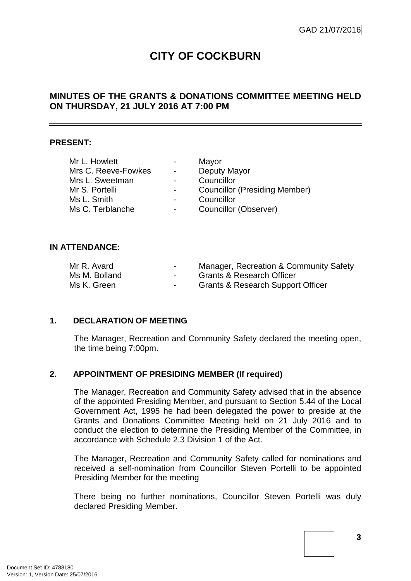### **CITY OF COCKBURN**

#### **MINUTES OF THE GRANTS & DONATIONS COMMITTEE MEETING HELD ON THURSDAY, 21 JULY 2016 AT 7:00 PM**

#### **PRESENT:**

| Mr L. Howlett<br>Mrs C. Reeve-Fowkes<br>Mrs L. Sweetman | $\blacksquare$<br>$\blacksquare$                     | Mayor<br>Deputy Mayor<br>Councillor  |
|---------------------------------------------------------|------------------------------------------------------|--------------------------------------|
| Mr S. Portelli                                          | $\overline{\phantom{a}}$<br>$\overline{\phantom{a}}$ | <b>Councillor (Presiding Member)</b> |
| Ms L. Smith<br>Ms C. Terblanche                         | $\overline{\phantom{a}}$<br>$\overline{\phantom{a}}$ | Councillor<br>Councillor (Observer)  |

#### **IN ATTENDANCE:**

| Mr R. Avard   | $\blacksquare$ | Manager, Recreation & Community Safety       |
|---------------|----------------|----------------------------------------------|
| Ms M. Bolland |                | Grants & Research Officer                    |
| Ms K. Green   | $\blacksquare$ | <b>Grants &amp; Research Support Officer</b> |

#### **1. DECLARATION OF MEETING**

The Manager, Recreation and Community Safety declared the meeting open, the time being 7:00pm.

#### **2. APPOINTMENT OF PRESIDING MEMBER (If required)**

The Manager, Recreation and Community Safety advised that in the absence of the appointed Presiding Member, and pursuant to Section 5.44 of the Local Government Act, 1995 he had been delegated the power to preside at the Grants and Donations Committee Meeting held on 21 July 2016 and to conduct the election to determine the Presiding Member of the Committee, in accordance with Schedule 2.3 Division 1 of the Act.

The Manager, Recreation and Community Safety called for nominations and received a self-nomination from Councillor Steven Portelli to be appointed Presiding Member for the meeting

There being no further nominations, Councillor Steven Portelli was duly declared Presiding Member.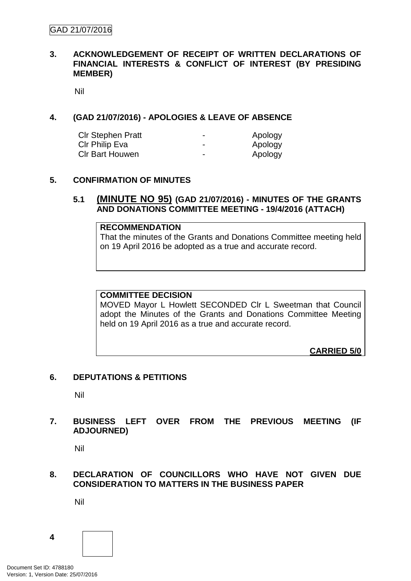#### **3. ACKNOWLEDGEMENT OF RECEIPT OF WRITTEN DECLARATIONS OF FINANCIAL INTERESTS & CONFLICT OF INTEREST (BY PRESIDING MEMBER)**

Nil

#### **4. (GAD 21/07/2016) - APOLOGIES & LEAVE OF ABSENCE**

| <b>CIr Stephen Pratt</b> | $\overline{\phantom{0}}$ | Apology |
|--------------------------|--------------------------|---------|
| CIr Philip Eva           | $\overline{\phantom{0}}$ | Apology |
| <b>CIr Bart Houwen</b>   | $\overline{\phantom{0}}$ | Apology |

#### **5. CONFIRMATION OF MINUTES**

#### **5.1 (MINUTE NO 95) (GAD 21/07/2016) - MINUTES OF THE GRANTS AND DONATIONS COMMITTEE MEETING - 19/4/2016 (ATTACH)**

#### **RECOMMENDATION**

That the minutes of the Grants and Donations Committee meeting held on 19 April 2016 be adopted as a true and accurate record.

#### **COMMITTEE DECISION**

MOVED Mayor L Howlett SECONDED Clr L Sweetman that Council adopt the Minutes of the Grants and Donations Committee Meeting held on 19 April 2016 as a true and accurate record.

**CARRIED 5/0**

#### **6. DEPUTATIONS & PETITIONS**

Nil

#### **7. BUSINESS LEFT OVER FROM THE PREVIOUS MEETING (IF ADJOURNED)**

Nil

#### **8. DECLARATION OF COUNCILLORS WHO HAVE NOT GIVEN DUE CONSIDERATION TO MATTERS IN THE BUSINESS PAPER**

Nil

Document Set ID: 4788180<br>Version: 1, Version Date: 25/07/2016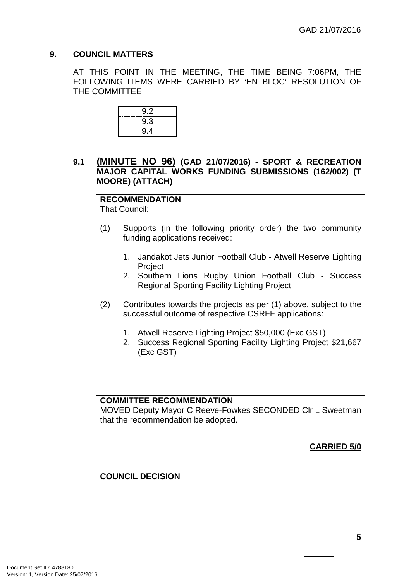#### **9. COUNCIL MATTERS**

AT THIS POINT IN THE MEETING, THE TIME BEING 7:06PM, THE FOLLOWING ITEMS WERE CARRIED BY 'EN BLOC' RESOLUTION OF THE COMMITTEE

| 9.2 |  |
|-----|--|
| 9.3 |  |
| 9.4 |  |

#### **9.1 (MINUTE NO 96) (GAD 21/07/2016) - SPORT & RECREATION MAJOR CAPITAL WORKS FUNDING SUBMISSIONS (162/002) (T MOORE) (ATTACH)**

#### **RECOMMENDATION**

That Council:

- (1) Supports (in the following priority order) the two community funding applications received:
	- 1. Jandakot Jets Junior Football Club Atwell Reserve Lighting Project
	- 2. Southern Lions Rugby Union Football Club Success Regional Sporting Facility Lighting Project
- (2) Contributes towards the projects as per (1) above, subject to the successful outcome of respective CSRFF applications:
	- 1. Atwell Reserve Lighting Project \$50,000 (Exc GST)
	- 2. Success Regional Sporting Facility Lighting Project \$21,667 (Exc GST)

#### **COMMITTEE RECOMMENDATION**

MOVED Deputy Mayor C Reeve-Fowkes SECONDED Clr L Sweetman that the recommendation be adopted.

**CARRIED 5/0**

#### **COUNCIL DECISION**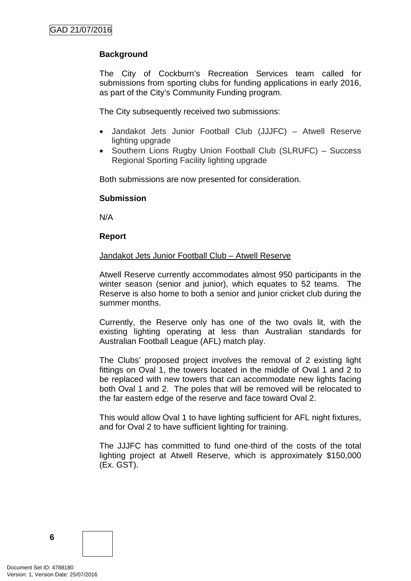#### **Background**

The City of Cockburn's Recreation Services team called for submissions from sporting clubs for funding applications in early 2016, as part of the City's Community Funding program.

The City subsequently received two submissions:

- Jandakot Jets Junior Football Club (JJJFC) Atwell Reserve lighting upgrade
- Southern Lions Rugby Union Football Club (SLRUFC) Success Regional Sporting Facility lighting upgrade

Both submissions are now presented for consideration.

#### **Submission**

N/A

#### **Report**

Jandakot Jets Junior Football Club – Atwell Reserve

Atwell Reserve currently accommodates almost 950 participants in the winter season (senior and junior), which equates to 52 teams. The Reserve is also home to both a senior and junior cricket club during the summer months.

Currently, the Reserve only has one of the two ovals lit, with the existing lighting operating at less than Australian standards for Australian Football League (AFL) match play.

The Clubs' proposed project involves the removal of 2 existing light fittings on Oval 1, the towers located in the middle of Oval 1 and 2 to be replaced with new towers that can accommodate new lights facing both Oval 1 and 2. The poles that will be removed will be relocated to the far eastern edge of the reserve and face toward Oval 2.

This would allow Oval 1 to have lighting sufficient for AFL night fixtures, and for Oval 2 to have sufficient lighting for training.

The JJJFC has committed to fund one-third of the costs of the total lighting project at Atwell Reserve, which is approximately \$150,000 (Ex. GST).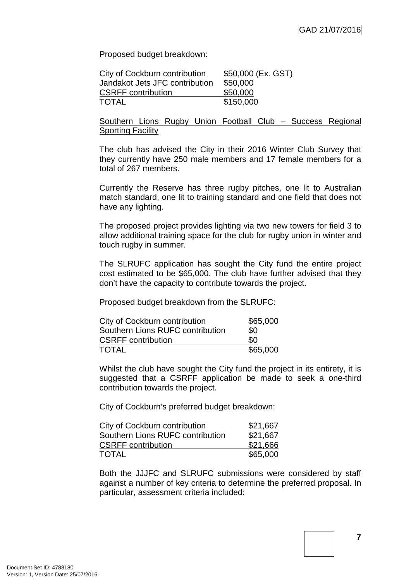Proposed budget breakdown:

| City of Cockburn contribution  | \$50,000 (Ex. GST) |
|--------------------------------|--------------------|
| Jandakot Jets JFC contribution | \$50,000           |
| <b>CSRFF</b> contribution      | \$50,000           |
| <b>TOTAL</b>                   | \$150,000          |

Southern Lions Rugby Union Football Club – Success Regional Sporting Facility

The club has advised the City in their 2016 Winter Club Survey that they currently have 250 male members and 17 female members for a total of 267 members.

Currently the Reserve has three rugby pitches, one lit to Australian match standard, one lit to training standard and one field that does not have any lighting.

The proposed project provides lighting via two new towers for field 3 to allow additional training space for the club for rugby union in winter and touch rugby in summer.

The SLRUFC application has sought the City fund the entire project cost estimated to be \$65,000. The club have further advised that they don't have the capacity to contribute towards the project.

Proposed budget breakdown from the SLRUFC:

| City of Cockburn contribution    | \$65,000 |
|----------------------------------|----------|
| Southern Lions RUFC contribution | \$0      |
| <b>CSRFF</b> contribution        | \$0      |
| <b>TOTAL</b>                     | \$65,000 |

Whilst the club have sought the City fund the project in its entirety, it is suggested that a CSRFF application be made to seek a one-third contribution towards the project.

City of Cockburn's preferred budget breakdown:

| City of Cockburn contribution    | \$21,667 |
|----------------------------------|----------|
| Southern Lions RUFC contribution | \$21,667 |
| <b>CSRFF</b> contribution        | \$21,666 |
| <b>TOTAL</b>                     | \$65,000 |

Both the JJJFC and SLRUFC submissions were considered by staff against a number of key criteria to determine the preferred proposal. In particular, assessment criteria included: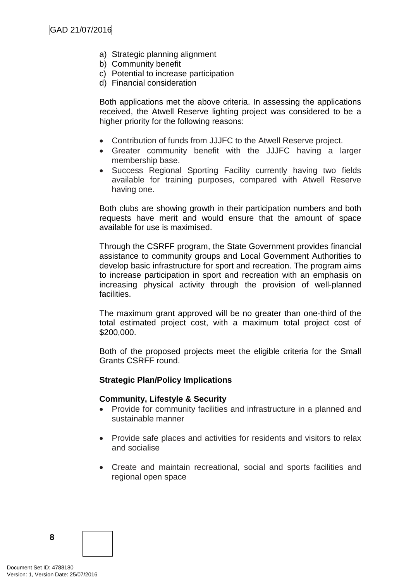- a) Strategic planning alignment
- b) Community benefit
- c) Potential to increase participation
- d) Financial consideration

Both applications met the above criteria. In assessing the applications received, the Atwell Reserve lighting project was considered to be a higher priority for the following reasons:

- Contribution of funds from JJJFC to the Atwell Reserve project.
- Greater community benefit with the JJJFC having a larger membership base.
- Success Regional Sporting Facility currently having two fields available for training purposes, compared with Atwell Reserve having one.

Both clubs are showing growth in their participation numbers and both requests have merit and would ensure that the amount of space available for use is maximised.

Through the CSRFF program, the State Government provides financial assistance to community groups and Local Government Authorities to develop basic infrastructure for sport and recreation. The program aims to increase participation in sport and recreation with an emphasis on increasing physical activity through the provision of well-planned facilities.

The maximum grant approved will be no greater than one-third of the total estimated project cost, with a maximum total project cost of \$200,000.

Both of the proposed projects meet the eligible criteria for the Small Grants CSRFF round.

#### **Strategic Plan/Policy Implications**

#### **Community, Lifestyle & Security**

- Provide for community facilities and infrastructure in a planned and sustainable manner
- Provide safe places and activities for residents and visitors to relax and socialise
- Create and maintain recreational, social and sports facilities and regional open space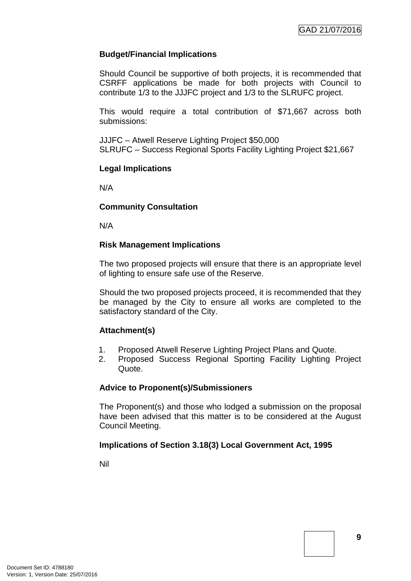#### **Budget/Financial Implications**

Should Council be supportive of both projects, it is recommended that CSRFF applications be made for both projects with Council to contribute 1/3 to the JJJFC project and 1/3 to the SLRUFC project.

This would require a total contribution of \$71,667 across both submissions:

JJJFC – Atwell Reserve Lighting Project \$50,000 SLRUFC – Success Regional Sports Facility Lighting Project \$21,667

#### **Legal Implications**

N/A

#### **Community Consultation**

N/A

#### **Risk Management Implications**

The two proposed projects will ensure that there is an appropriate level of lighting to ensure safe use of the Reserve.

Should the two proposed projects proceed, it is recommended that they be managed by the City to ensure all works are completed to the satisfactory standard of the City.

#### **Attachment(s)**

- 1. Proposed Atwell Reserve Lighting Project Plans and Quote.
- 2. Proposed Success Regional Sporting Facility Lighting Project Quote.

#### **Advice to Proponent(s)/Submissioners**

The Proponent(s) and those who lodged a submission on the proposal have been advised that this matter is to be considered at the August Council Meeting.

#### **Implications of Section 3.18(3) Local Government Act, 1995**

Nil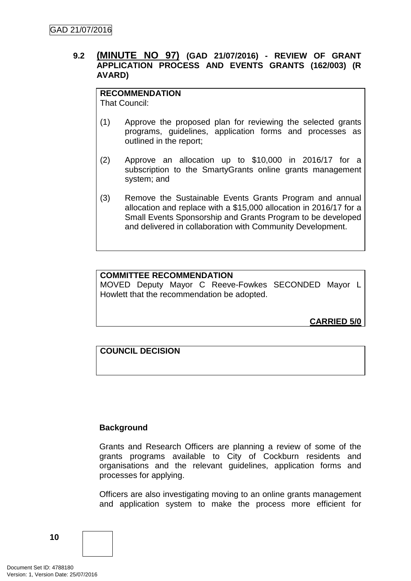#### **9.2 (MINUTE NO 97) (GAD 21/07/2016) - REVIEW OF GRANT APPLICATION PROCESS AND EVENTS GRANTS (162/003) (R AVARD)**

**RECOMMENDATION** That Council:

- (1) Approve the proposed plan for reviewing the selected grants programs, guidelines, application forms and processes as outlined in the report;
- (2) Approve an allocation up to \$10,000 in 2016/17 for a subscription to the SmartyGrants online grants management system; and
- (3) Remove the Sustainable Events Grants Program and annual allocation and replace with a \$15,000 allocation in 2016/17 for a Small Events Sponsorship and Grants Program to be developed and delivered in collaboration with Community Development.

#### **COMMITTEE RECOMMENDATION**

MOVED Deputy Mayor C Reeve-Fowkes SECONDED Mayor L Howlett that the recommendation be adopted.

**CARRIED 5/0**

**COUNCIL DECISION**

#### **Background**

Grants and Research Officers are planning a review of some of the grants programs available to City of Cockburn residents and organisations and the relevant guidelines, application forms and processes for applying.

Officers are also investigating moving to an online grants management and application system to make the process more efficient for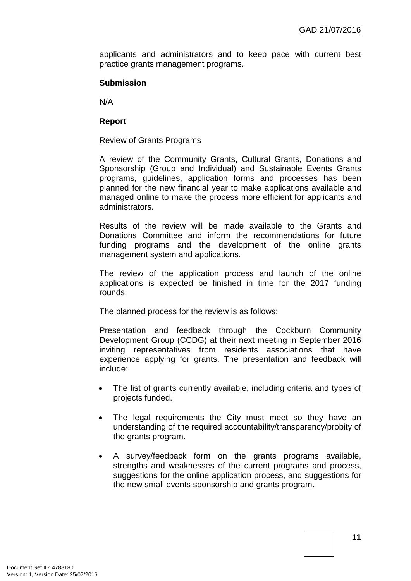applicants and administrators and to keep pace with current best practice grants management programs.

#### **Submission**

N/A

#### **Report**

#### Review of Grants Programs

A review of the Community Grants, Cultural Grants, Donations and Sponsorship (Group and Individual) and Sustainable Events Grants programs, guidelines, application forms and processes has been planned for the new financial year to make applications available and managed online to make the process more efficient for applicants and administrators.

Results of the review will be made available to the Grants and Donations Committee and inform the recommendations for future funding programs and the development of the online grants management system and applications.

The review of the application process and launch of the online applications is expected be finished in time for the 2017 funding rounds.

The planned process for the review is as follows:

Presentation and feedback through the Cockburn Community Development Group (CCDG) at their next meeting in September 2016 inviting representatives from residents associations that have experience applying for grants. The presentation and feedback will include:

- The list of grants currently available, including criteria and types of projects funded.
- The legal requirements the City must meet so they have an understanding of the required accountability/transparency/probity of the grants program.
- A survey/feedback form on the grants programs available, strengths and weaknesses of the current programs and process, suggestions for the online application process, and suggestions for the new small events sponsorship and grants program.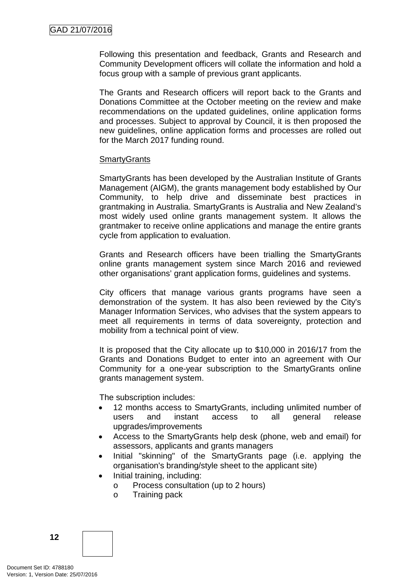Following this presentation and feedback, Grants and Research and Community Development officers will collate the information and hold a focus group with a sample of previous grant applicants.

The Grants and Research officers will report back to the Grants and Donations Committee at the October meeting on the review and make recommendations on the updated guidelines, online application forms and processes. Subject to approval by Council, it is then proposed the new guidelines, online application forms and processes are rolled out for the March 2017 funding round.

#### **SmartyGrants**

SmartyGrants has been developed by the Australian Institute of Grants Management (AIGM), the grants management body established by Our Community, to help drive and disseminate best practices in grantmaking in Australia. SmartyGrants is Australia and New Zealand's most widely used online grants management system. It allows the grantmaker to receive online applications and manage the entire grants cycle from application to evaluation.

Grants and Research officers have been trialling the SmartyGrants online grants management system since March 2016 and reviewed other organisations' grant application forms, guidelines and systems.

City officers that manage various grants programs have seen a demonstration of the system. It has also been reviewed by the City's Manager Information Services, who advises that the system appears to meet all requirements in terms of data sovereignty, protection and mobility from a technical point of view.

It is proposed that the City allocate up to \$10,000 in 2016/17 from the Grants and Donations Budget to enter into an agreement with Our Community for a one-year subscription to the SmartyGrants online grants management system.

The subscription includes:

- 12 months access to SmartyGrants, including unlimited number of users and instant access to all general release upgrades/improvements
- Access to the SmartyGrants help desk (phone, web and email) for assessors, applicants and grants managers
- Initial "skinning" of the SmartyGrants page (i.e. applying the organisation's branding/style sheet to the applicant site)
- Initial training, including:
	- o Process consultation (up to 2 hours)
	- o Training pack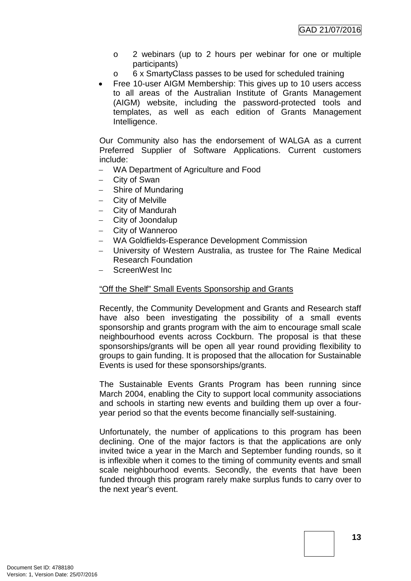- o 2 webinars (up to 2 hours per webinar for one or multiple participants)
- o 6 x SmartyClass passes to be used for scheduled training
- Free 10-user AIGM Membership: This gives up to 10 users access to all areas of the Australian Institute of Grants Management (AIGM) website, including the password-protected tools and templates, as well as each edition of Grants Management Intelligence.

Our Community also has the endorsement of WALGA as a current Preferred Supplier of Software Applications. Current customers include:

- − WA Department of Agriculture and Food
- City of Swan
- − Shire of Mundaring
- − City of Melville
- − City of Mandurah
- − City of Joondalup
- − City of Wanneroo
- − WA Goldfields-Esperance Development Commission
- − University of Western Australia, as trustee for The Raine Medical Research Foundation
- − ScreenWest Inc

#### "Off the Shelf" Small Events Sponsorship and Grants

Recently, the Community Development and Grants and Research staff have also been investigating the possibility of a small events sponsorship and grants program with the aim to encourage small scale neighbourhood events across Cockburn. The proposal is that these sponsorships/grants will be open all year round providing flexibility to groups to gain funding. It is proposed that the allocation for Sustainable Events is used for these sponsorships/grants.

The Sustainable Events Grants Program has been running since March 2004, enabling the City to support local community associations and schools in starting new events and building them up over a fouryear period so that the events become financially self-sustaining.

Unfortunately, the number of applications to this program has been declining. One of the major factors is that the applications are only invited twice a year in the March and September funding rounds, so it is inflexible when it comes to the timing of community events and small scale neighbourhood events. Secondly, the events that have been funded through this program rarely make surplus funds to carry over to the next year's event.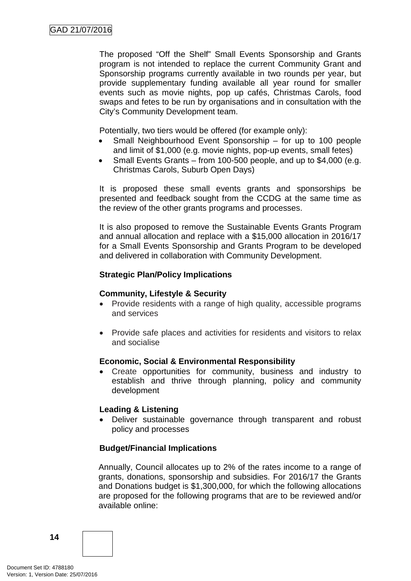The proposed "Off the Shelf" Small Events Sponsorship and Grants program is not intended to replace the current Community Grant and Sponsorship programs currently available in two rounds per year, but provide supplementary funding available all year round for smaller events such as movie nights, pop up cafés, Christmas Carols, food swaps and fetes to be run by organisations and in consultation with the City's Community Development team.

Potentially, two tiers would be offered (for example only):

- Small Neighbourhood Event Sponsorship for up to 100 people and limit of \$1,000 (e.g. movie nights, pop-up events, small fetes)
- Small Events Grants from 100-500 people, and up to \$4,000 (e.g. Christmas Carols, Suburb Open Days)

It is proposed these small events grants and sponsorships be presented and feedback sought from the CCDG at the same time as the review of the other grants programs and processes.

It is also proposed to remove the Sustainable Events Grants Program and annual allocation and replace with a \$15,000 allocation in 2016/17 for a Small Events Sponsorship and Grants Program to be developed and delivered in collaboration with Community Development.

#### **Strategic Plan/Policy Implications**

#### **Community, Lifestyle & Security**

- Provide residents with a range of high quality, accessible programs and services
- Provide safe places and activities for residents and visitors to relax and socialise

#### **Economic, Social & Environmental Responsibility**

• Create opportunities for community, business and industry to establish and thrive through planning, policy and community development

#### **Leading & Listening**

• Deliver sustainable governance through transparent and robust policy and processes

#### **Budget/Financial Implications**

Annually, Council allocates up to 2% of the rates income to a range of grants, donations, sponsorship and subsidies. For 2016/17 the Grants and Donations budget is \$1,300,000, for which the following allocations are proposed for the following programs that are to be reviewed and/or available online: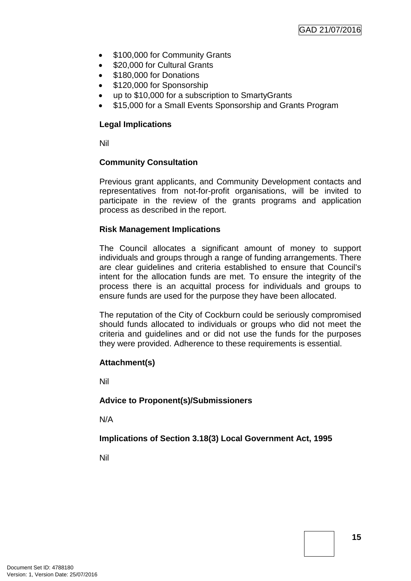- \$100,000 for Community Grants
- \$20,000 for Cultural Grants
- \$180,000 for Donations
- \$120,000 for Sponsorship
- up to \$10,000 for a subscription to SmartyGrants
- \$15,000 for a Small Events Sponsorship and Grants Program

#### **Legal Implications**

Nil

#### **Community Consultation**

Previous grant applicants, and Community Development contacts and representatives from not-for-profit organisations, will be invited to participate in the review of the grants programs and application process as described in the report.

#### **Risk Management Implications**

The Council allocates a significant amount of money to support individuals and groups through a range of funding arrangements. There are clear guidelines and criteria established to ensure that Council's intent for the allocation funds are met. To ensure the integrity of the process there is an acquittal process for individuals and groups to ensure funds are used for the purpose they have been allocated.

The reputation of the City of Cockburn could be seriously compromised should funds allocated to individuals or groups who did not meet the criteria and guidelines and or did not use the funds for the purposes they were provided. Adherence to these requirements is essential.

#### **Attachment(s)**

Nil

#### **Advice to Proponent(s)/Submissioners**

N/A

**Implications of Section 3.18(3) Local Government Act, 1995**

Nil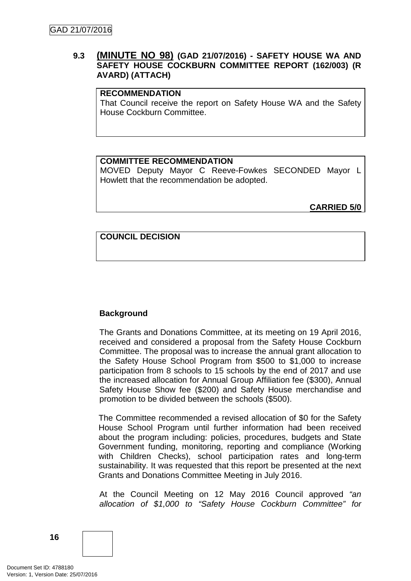#### **9.3 (MINUTE NO 98) (GAD 21/07/2016) - SAFETY HOUSE WA AND SAFETY HOUSE COCKBURN COMMITTEE REPORT (162/003) (R AVARD) (ATTACH)**

#### **RECOMMENDATION**

That Council receive the report on Safety House WA and the Safety House Cockburn Committee.

#### **COMMITTEE RECOMMENDATION**

MOVED Deputy Mayor C Reeve-Fowkes SECONDED Mayor L Howlett that the recommendation be adopted.

**CARRIED 5/0**

#### **COUNCIL DECISION**

#### **Background**

The Grants and Donations Committee, at its meeting on 19 April 2016, received and considered a proposal from the Safety House Cockburn Committee. The proposal was to increase the annual grant allocation to the Safety House School Program from \$500 to \$1,000 to increase participation from 8 schools to 15 schools by the end of 2017 and use the increased allocation for Annual Group Affiliation fee (\$300), Annual Safety House Show fee (\$200) and Safety House merchandise and promotion to be divided between the schools (\$500).

The Committee recommended a revised allocation of \$0 for the Safety House School Program until further information had been received about the program including: policies, procedures, budgets and State Government funding, monitoring, reporting and compliance (Working with Children Checks), school participation rates and long-term sustainability. It was requested that this report be presented at the next Grants and Donations Committee Meeting in July 2016.

At the Council Meeting on 12 May 2016 Council approved *"an allocation of \$1,000 to "Safety House Cockburn Committee" for*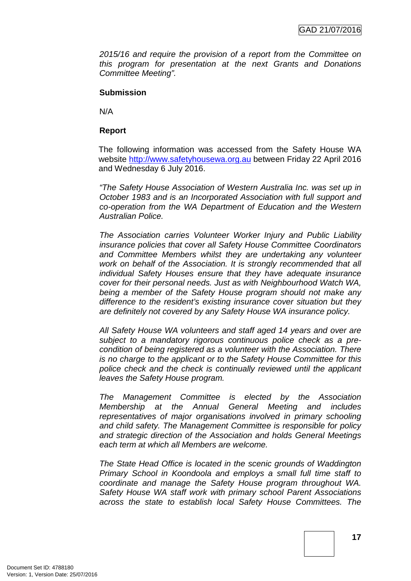*2015/16 and require the provision of a report from the Committee on this program for presentation at the next Grants and Donations Committee Meeting".*

#### **Submission**

N/A

#### **Report**

The following information was accessed from the Safety House WA website [http://www.safetyhousewa.org.au](http://www.safetyhousewa.org.au/) between Friday 22 April 2016 and Wednesday 6 July 2016.

*"The Safety House Association of Western Australia Inc. was set up in October 1983 and is an Incorporated Association with full support and co-operation from the WA Department of Education and the Western Australian Police.*

*The Association carries Volunteer Worker Injury and Public Liability insurance policies that cover all Safety House Committee Coordinators and Committee Members whilst they are undertaking any volunteer*  work on behalf of the Association. It is strongly recommended that all *individual Safety Houses ensure that they have adequate insurance cover for their personal needs. Just as with Neighbourhood Watch WA, being a member of the Safety House program should not make any difference to the resident's existing insurance cover situation but they are definitely not covered by any Safety House WA insurance policy.*

*All Safety House WA volunteers and staff aged 14 years and over are subject to a mandatory rigorous continuous police check as a precondition of being registered as a volunteer with the Association. There is no charge to the applicant or to the Safety House Committee for this police check and the check is continually reviewed until the applicant leaves the Safety House program.*

*The Management Committee is elected by the Association Membership at the Annual General Meeting and includes representatives of major organisations involved in primary schooling and child safety. The Management Committee is responsible for policy and strategic direction of the Association and holds General Meetings each term at which all Members are welcome.*

*The State Head Office is located in the scenic grounds of Waddington Primary School in Koondoola and employs a small full time staff to coordinate and manage the Safety House program throughout WA. Safety House WA staff work with primary school Parent Associations across the state to establish local Safety House Committees. The*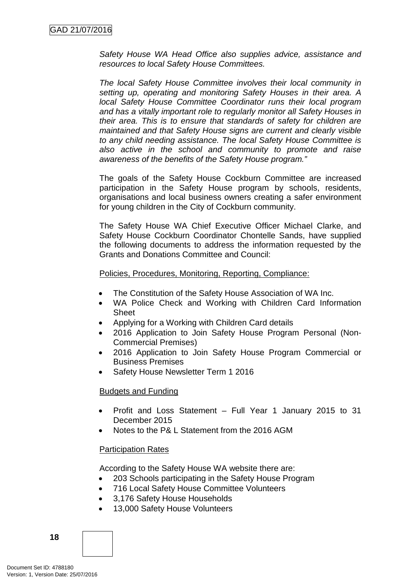*Safety House WA Head Office also supplies advice, assistance and resources to local Safety House Committees.*

*The local Safety House Committee involves their local community in setting up, operating and monitoring Safety Houses in their area. A local Safety House Committee Coordinator runs their local program and has a vitally important role to regularly monitor all Safety Houses in their area. This is to ensure that standards of safety for children are maintained and that Safety House signs are current and clearly visible to any child needing assistance. The local Safety House Committee is also active in the school and community to promote and raise awareness of the benefits of the Safety House program."*

The goals of the Safety House Cockburn Committee are increased participation in the Safety House program by schools, residents, organisations and local business owners creating a safer environment for young children in the City of Cockburn community.

The Safety House WA Chief Executive Officer Michael Clarke, and Safety House Cockburn Coordinator Chontelle Sands, have supplied the following documents to address the information requested by the Grants and Donations Committee and Council:

Policies, Procedures, Monitoring, Reporting, Compliance:

- The Constitution of the Safety House Association of WA Inc.
- WA Police Check and Working with Children Card Information Sheet
- Applying for a Working with Children Card details
- 2016 Application to Join Safety House Program Personal (Non-Commercial Premises)
- 2016 Application to Join Safety House Program Commercial or Business Premises
- Safety House Newsletter Term 1 2016

#### Budgets and Funding

- Profit and Loss Statement Full Year 1 January 2015 to 31 December 2015
- Notes to the P& L Statement from the 2016 AGM

#### Participation Rates

According to the Safety House WA website there are:

- 203 Schools participating in the Safety House Program
- 716 Local Safety House Committee Volunteers
- 3,176 Safety House Households
- 13,000 Safety House Volunteers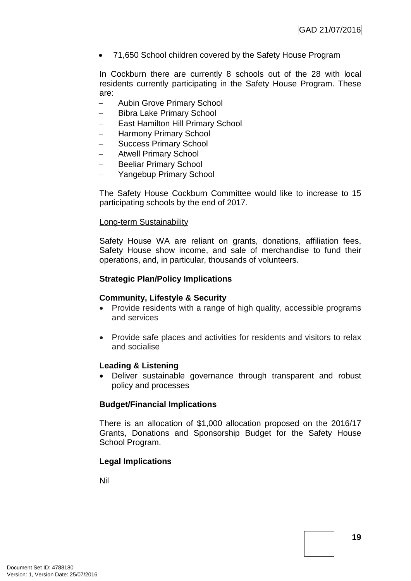• 71,650 School children covered by the Safety House Program

In Cockburn there are currently 8 schools out of the 28 with local residents currently participating in the Safety House Program. These are:

- − Aubin Grove Primary School
- − Bibra Lake Primary School
- − East Hamilton Hill Primary School
- − Harmony Primary School
- − Success Primary School
- − Atwell Primary School
- − Beeliar Primary School
- − Yangebup Primary School

The Safety House Cockburn Committee would like to increase to 15 participating schools by the end of 2017.

#### Long-term Sustainability

Safety House WA are reliant on grants, donations, affiliation fees, Safety House show income, and sale of merchandise to fund their operations, and, in particular, thousands of volunteers.

#### **Strategic Plan/Policy Implications**

#### **Community, Lifestyle & Security**

- Provide residents with a range of high quality, accessible programs and services
- Provide safe places and activities for residents and visitors to relax and socialise

#### **Leading & Listening**

• Deliver sustainable governance through transparent and robust policy and processes

#### **Budget/Financial Implications**

There is an allocation of \$1,000 allocation proposed on the 2016/17 Grants, Donations and Sponsorship Budget for the Safety House School Program.

#### **Legal Implications**

Nil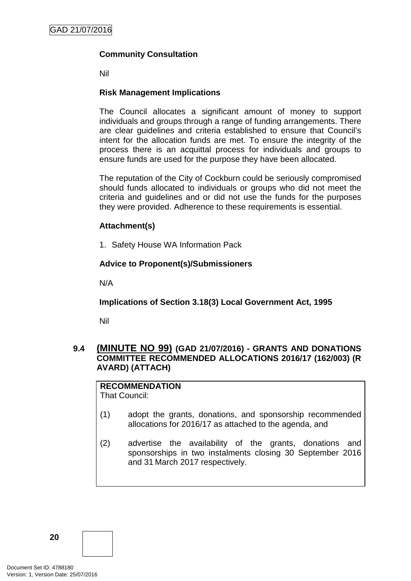#### **Community Consultation**

Nil

#### **Risk Management Implications**

The Council allocates a significant amount of money to support individuals and groups through a range of funding arrangements. There are clear guidelines and criteria established to ensure that Council's intent for the allocation funds are met. To ensure the integrity of the process there is an acquittal process for individuals and groups to ensure funds are used for the purpose they have been allocated.

The reputation of the City of Cockburn could be seriously compromised should funds allocated to individuals or groups who did not meet the criteria and guidelines and or did not use the funds for the purposes they were provided. Adherence to these requirements is essential.

#### **Attachment(s)**

1. Safety House WA Information Pack

#### **Advice to Proponent(s)/Submissioners**

N/A

**Implications of Section 3.18(3) Local Government Act, 1995**

Nil

#### **9.4 (MINUTE NO 99) (GAD 21/07/2016) - GRANTS AND DONATIONS COMMITTEE RECOMMENDED ALLOCATIONS 2016/17 (162/003) (R AVARD) (ATTACH)**

#### **RECOMMENDATION** That Council:

- (1) adopt the grants, donations, and sponsorship recommended allocations for 2016/17 as attached to the agenda, and
- (2) advertise the availability of the grants, donations and sponsorships in two instalments closing 30 September 2016 and 31 March 2017 respectively.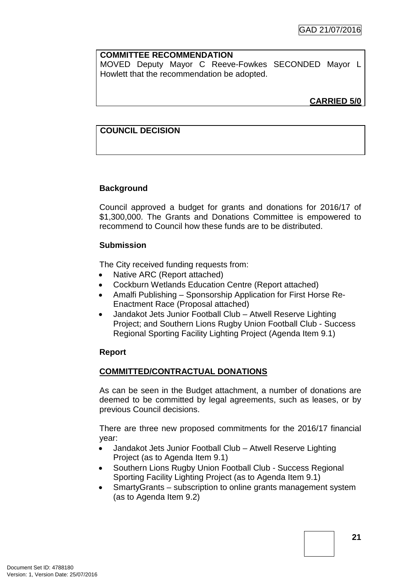#### **COMMITTEE RECOMMENDATION**

MOVED Deputy Mayor C Reeve-Fowkes SECONDED Mayor L Howlett that the recommendation be adopted.

**CARRIED 5/0**

#### **COUNCIL DECISION**

#### **Background**

Council approved a budget for grants and donations for 2016/17 of \$1,300,000. The Grants and Donations Committee is empowered to recommend to Council how these funds are to be distributed.

#### **Submission**

The City received funding requests from:

- Native ARC (Report attached)
- Cockburn Wetlands Education Centre (Report attached)
- Amalfi Publishing Sponsorship Application for First Horse Re-Enactment Race (Proposal attached)
- Jandakot Jets Junior Football Club Atwell Reserve Lighting Project; and Southern Lions Rugby Union Football Club - Success Regional Sporting Facility Lighting Project (Agenda Item 9.1)

#### **Report**

#### **COMMITTED/CONTRACTUAL DONATIONS**

As can be seen in the Budget attachment, a number of donations are deemed to be committed by legal agreements, such as leases, or by previous Council decisions.

There are three new proposed commitments for the 2016/17 financial year:

- Jandakot Jets Junior Football Club Atwell Reserve Lighting Project (as to Agenda Item 9.1)
- Southern Lions Rugby Union Football Club Success Regional Sporting Facility Lighting Project (as to Agenda Item 9.1)
- SmartyGrants subscription to online grants management system (as to Agenda Item 9.2)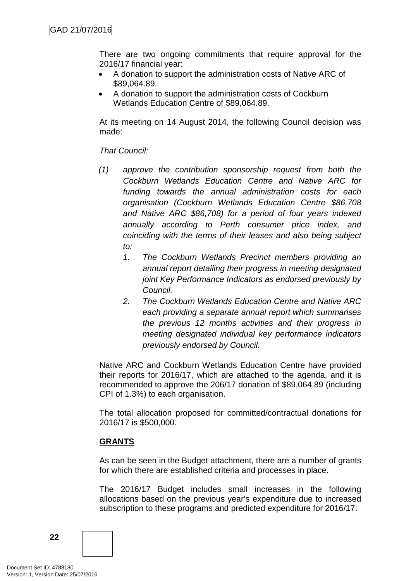There are two ongoing commitments that require approval for the 2016/17 financial year:

- A donation to support the administration costs of Native ARC of \$89,064.89.
- A donation to support the administration costs of Cockburn Wetlands Education Centre of \$89,064.89.

At its meeting on 14 August 2014, the following Council decision was made:

*That Council:*

- *(1) approve the contribution sponsorship request from both the Cockburn Wetlands Education Centre and Native ARC for funding towards the annual administration costs for each organisation (Cockburn Wetlands Education Centre \$86,708 and Native ARC \$86,708) for a period of four years indexed annually according to Perth consumer price index, and coinciding with the terms of their leases and also being subject to:*
	- *1. The Cockburn Wetlands Precinct members providing an annual report detailing their progress in meeting designated joint Key Performance Indicators as endorsed previously by Council.*
	- *2. The Cockburn Wetlands Education Centre and Native ARC each providing a separate annual report which summarises the previous 12 months activities and their progress in meeting designated individual key performance indicators previously endorsed by Council.*

Native ARC and Cockburn Wetlands Education Centre have provided their reports for 2016/17, which are attached to the agenda, and it is recommended to approve the 206/17 donation of \$89,064.89 (including CPI of 1.3%) to each organisation.

The total allocation proposed for committed/contractual donations for 2016/17 is \$500,000.

#### **GRANTS**

As can be seen in the Budget attachment, there are a number of grants for which there are established criteria and processes in place.

The 2016/17 Budget includes small increases in the following allocations based on the previous year's expenditure due to increased subscription to these programs and predicted expenditure for 2016/17: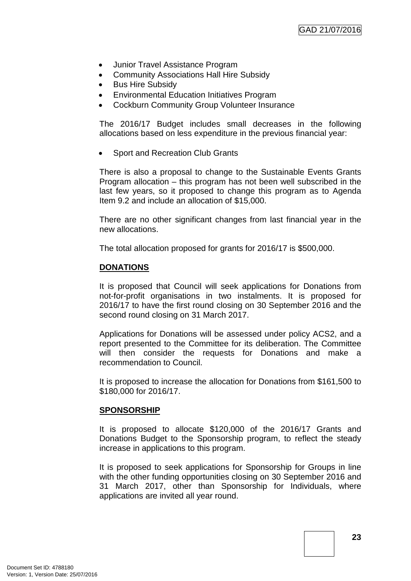- Junior Travel Assistance Program
- Community Associations Hall Hire Subsidy
- **Bus Hire Subsidy**
- Environmental Education Initiatives Program
- Cockburn Community Group Volunteer Insurance

The 2016/17 Budget includes small decreases in the following allocations based on less expenditure in the previous financial year:

• Sport and Recreation Club Grants

There is also a proposal to change to the Sustainable Events Grants Program allocation – this program has not been well subscribed in the last few years, so it proposed to change this program as to Agenda Item 9.2 and include an allocation of \$15,000.

There are no other significant changes from last financial year in the new allocations.

The total allocation proposed for grants for 2016/17 is \$500,000.

#### **DONATIONS**

It is proposed that Council will seek applications for Donations from not-for-profit organisations in two instalments. It is proposed for 2016/17 to have the first round closing on 30 September 2016 and the second round closing on 31 March 2017.

Applications for Donations will be assessed under policy ACS2, and a report presented to the Committee for its deliberation. The Committee will then consider the requests for Donations and make a recommendation to Council.

It is proposed to increase the allocation for Donations from \$161,500 to \$180,000 for 2016/17.

#### **SPONSORSHIP**

It is proposed to allocate \$120,000 of the 2016/17 Grants and Donations Budget to the Sponsorship program, to reflect the steady increase in applications to this program.

It is proposed to seek applications for Sponsorship for Groups in line with the other funding opportunities closing on 30 September 2016 and 31 March 2017, other than Sponsorship for Individuals, where applications are invited all year round.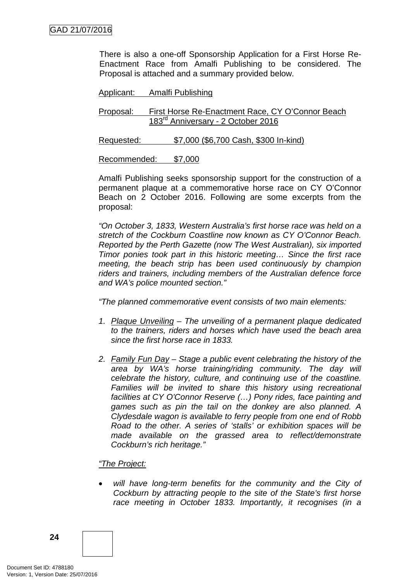There is also a one-off Sponsorship Application for a First Horse Re-Enactment Race from Amalfi Publishing to be considered. The Proposal is attached and a summary provided below.

#### Applicant: Amalfi Publishing

#### Proposal: First Horse Re-Enactment Race, CY O'Connor Beach 183<sup>rd</sup> Anniversary - 2 October 2016

Requested: \$7,000 (\$6,700 Cash, \$300 In-kind)

#### Recommended: \$7,000

Amalfi Publishing seeks sponsorship support for the construction of a permanent plaque at a commemorative horse race on CY O'Connor Beach on 2 October 2016. Following are some excerpts from the proposal:

*"On October 3, 1833, Western Australia's first horse race was held on a stretch of the Cockburn Coastline now known as CY O'Connor Beach. Reported by the Perth Gazette (now The West Australian), six imported Timor ponies took part in this historic meeting… Since the first race meeting, the beach strip has been used continuously by champion riders and trainers, including members of the Australian defence force and WA's police mounted section."*

*"The planned commemorative event consists of two main elements:*

- *1. Plaque Unveiling – The unveiling of a permanent plaque dedicated to the trainers, riders and horses which have used the beach area since the first horse race in 1833.*
- *2. Family Fun Day – Stage a public event celebrating the history of the area by WA's horse training/riding community. The day will celebrate the history, culture, and continuing use of the coastline. Families will be invited to share this history using recreational facilities at CY O'Connor Reserve (…) Pony rides, face painting and games such as pin the tail on the donkey are also planned. A Clydesdale wagon is available to ferry people from one end of Robb Road to the other. A series of 'stalls' or exhibition spaces will be made available on the grassed area to reflect/demonstrate Cockburn's rich heritage."*

#### *"The Project:*

• *will have long-term benefits for the community and the City of Cockburn by attracting people to the site of the State's first horse race meeting in October 1833. Importantly, it recognises (in a* 

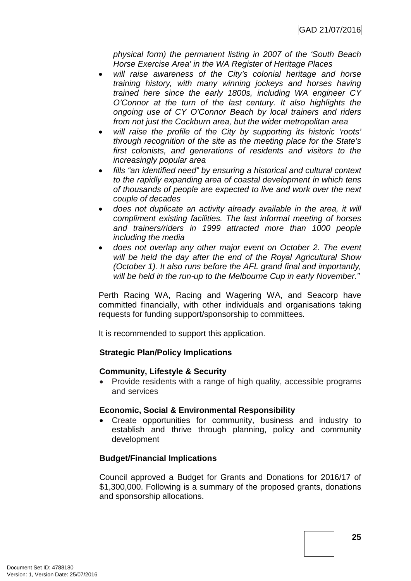*physical form) the permanent listing in 2007 of the 'South Beach Horse Exercise Area' in the WA Register of Heritage Places*

- *will raise awareness of the City's colonial heritage and horse training history, with many winning jockeys and horses having trained here since the early 1800s, including WA engineer CY O'Connor at the turn of the last century. It also highlights the ongoing use of CY O'Connor Beach by local trainers and riders from not just the Cockburn area, but the wider metropolitan area*
- *will raise the profile of the City by supporting its historic 'roots' through recognition of the site as the meeting place for the State's first colonists, and generations of residents and visitors to the increasingly popular area*
- *fills "an identified need" by ensuring a historical and cultural context to the rapidly expanding area of coastal development in which tens of thousands of people are expected to live and work over the next couple of decades*
- *does not duplicate an activity already available in the area, it will compliment existing facilities. The last informal meeting of horses and trainers/riders in 1999 attracted more than 1000 people including the media*
- *does not overlap any other major event on October 2. The event will be held the day after the end of the Royal Agricultural Show (October 1). It also runs before the AFL grand final and importantly, will be held in the run-up to the Melbourne Cup in early November."*

Perth Racing WA, Racing and Wagering WA, and Seacorp have committed financially, with other individuals and organisations taking requests for funding support/sponsorship to committees.

It is recommended to support this application.

#### **Strategic Plan/Policy Implications**

#### **Community, Lifestyle & Security**

• Provide residents with a range of high quality, accessible programs and services

#### **Economic, Social & Environmental Responsibility**

• Create opportunities for community, business and industry to establish and thrive through planning, policy and community development

#### **Budget/Financial Implications**

Council approved a Budget for Grants and Donations for 2016/17 of \$1,300,000. Following is a summary of the proposed grants, donations and sponsorship allocations.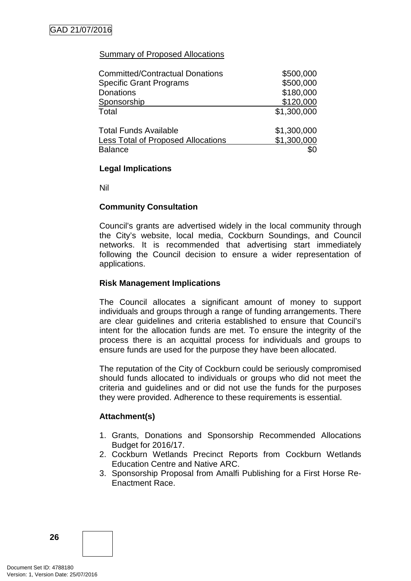#### Summary of Proposed Allocations

| <b>Committed/Contractual Donations</b>    | \$500,000   |
|-------------------------------------------|-------------|
| <b>Specific Grant Programs</b>            | \$500,000   |
| <b>Donations</b>                          | \$180,000   |
| Sponsorship                               | \$120,000   |
| Total                                     | \$1,300,000 |
| <b>Total Funds Available</b>              | \$1,300,000 |
| <b>Less Total of Proposed Allocations</b> | \$1,300,000 |
| <b>Balance</b>                            | \$C         |

#### **Legal Implications**

Nil

#### **Community Consultation**

Council's grants are advertised widely in the local community through the City's website, local media, Cockburn Soundings, and Council networks. It is recommended that advertising start immediately following the Council decision to ensure a wider representation of applications.

#### **Risk Management Implications**

The Council allocates a significant amount of money to support individuals and groups through a range of funding arrangements. There are clear guidelines and criteria established to ensure that Council's intent for the allocation funds are met. To ensure the integrity of the process there is an acquittal process for individuals and groups to ensure funds are used for the purpose they have been allocated.

The reputation of the City of Cockburn could be seriously compromised should funds allocated to individuals or groups who did not meet the criteria and guidelines and or did not use the funds for the purposes they were provided. Adherence to these requirements is essential.

#### **Attachment(s)**

- 1. Grants, Donations and Sponsorship Recommended Allocations Budget for 2016/17.
- 2. Cockburn Wetlands Precinct Reports from Cockburn Wetlands Education Centre and Native ARC.
- 3. Sponsorship Proposal from Amalfi Publishing for a First Horse Re-Enactment Race.